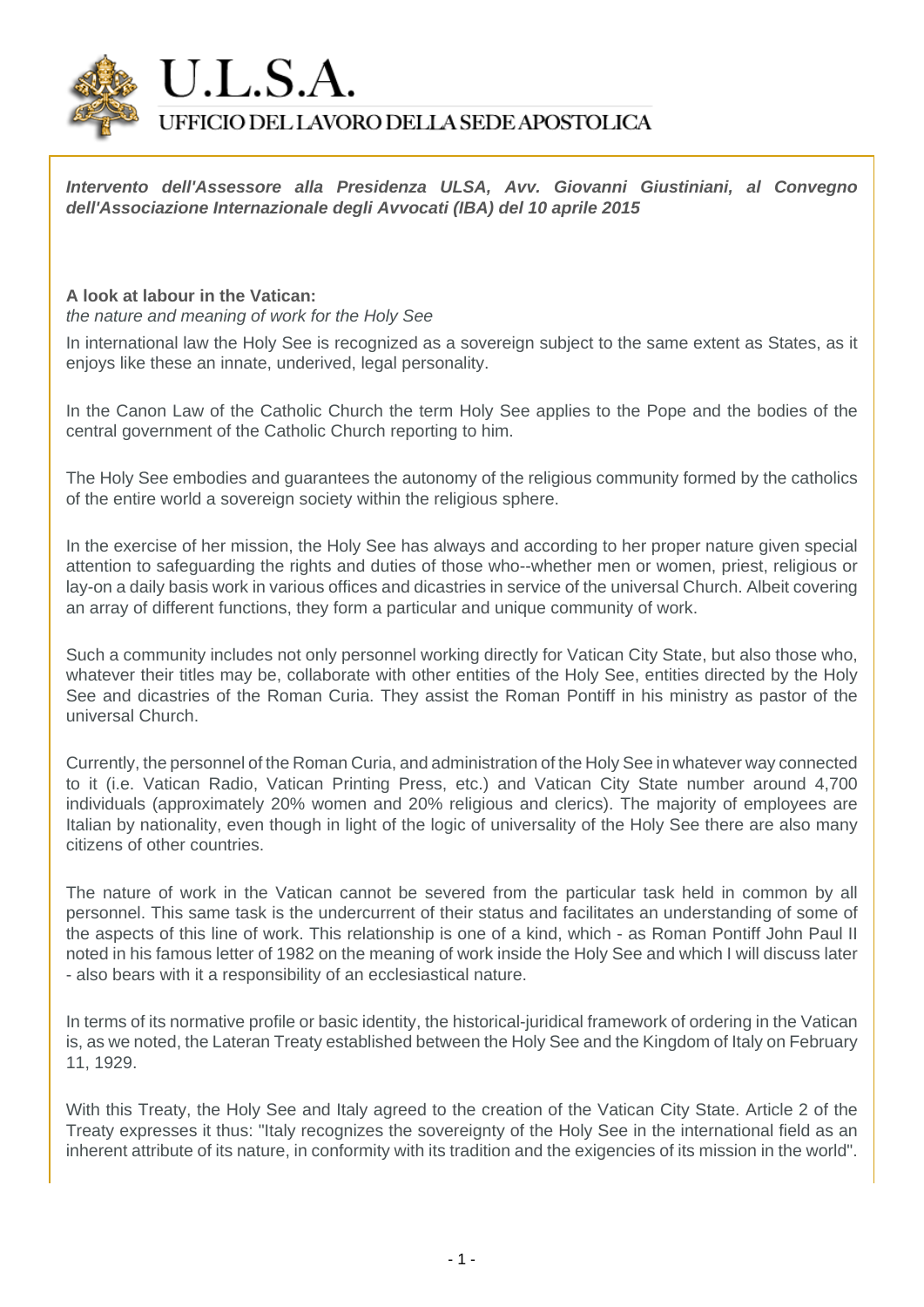

**Intervento dell'Assessore alla Presidenza ULSA, Avv. Giovanni Giustiniani, al Convegno dell'Associazione Internazionale degli Avvocati (IBA) del 10 aprile 2015**

## **A look at labour in the Vatican:**

the nature and meaning of work for the Holy See

In international law the Holy See is recognized as a sovereign subject to the same extent as States, as it enjoys like these an innate, underived, legal personality.

In the Canon Law of the Catholic Church the term Holy See applies to the Pope and the bodies of the central government of the Catholic Church reporting to him.

The Holy See embodies and guarantees the autonomy of the religious community formed by the catholics of the entire world a sovereign society within the religious sphere.

In the exercise of her mission, the Holy See has always and according to her proper nature given special attention to safeguarding the rights and duties of those who--whether men or women, priest, religious or lay-on a daily basis work in various offices and dicastries in service of the universal Church. Albeit covering an array of different functions, they form a particular and unique community of work.

Such a community includes not only personnel working directly for Vatican City State, but also those who, whatever their titles may be, collaborate with other entities of the Holy See, entities directed by the Holy See and dicastries of the Roman Curia. They assist the Roman Pontiff in his ministry as pastor of the universal Church.

Currently, the personnel of the Roman Curia, and administration of the Holy See in whatever way connected to it (i.e. Vatican Radio, Vatican Printing Press, etc.) and Vatican City State number around 4,700 individuals (approximately 20% women and 20% religious and clerics). The majority of employees are Italian by nationality, even though in light of the logic of universality of the Holy See there are also many citizens of other countries.

The nature of work in the Vatican cannot be severed from the particular task held in common by all personnel. This same task is the undercurrent of their status and facilitates an understanding of some of the aspects of this line of work. This relationship is one of a kind, which - as Roman Pontiff John Paul II noted in his famous letter of 1982 on the meaning of work inside the Holy See and which I will discuss later - also bears with it a responsibility of an ecclesiastical nature.

In terms of its normative profile or basic identity, the historical-juridical framework of ordering in the Vatican is, as we noted, the Lateran Treaty established between the Holy See and the Kingdom of Italy on February 11, 1929.

With this Treaty, the Holy See and Italy agreed to the creation of the Vatican City State. Article 2 of the Treaty expresses it thus: "Italy recognizes the sovereignty of the Holy See in the international field as an inherent attribute of its nature, in conformity with its tradition and the exigencies of its mission in the world".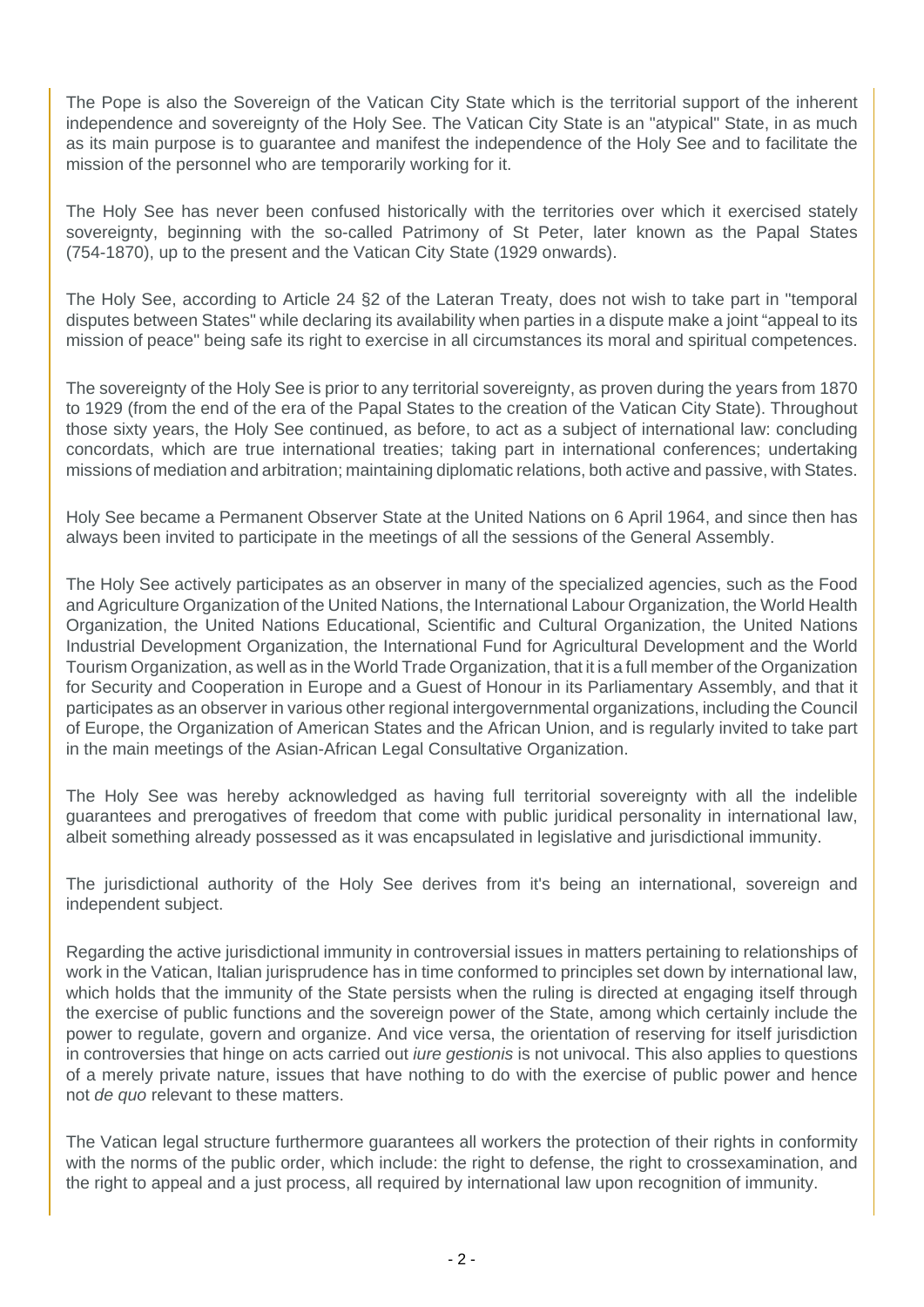The Pope is also the Sovereign of the Vatican City State which is the territorial support of the inherent independence and sovereignty of the Holy See. The Vatican City State is an "atypical" State, in as much as its main purpose is to guarantee and manifest the independence of the Holy See and to facilitate the mission of the personnel who are temporarily working for it.

The Holy See has never been confused historically with the territories over which it exercised stately sovereignty, beginning with the so-called Patrimony of St Peter, later known as the Papal States (754-1870), up to the present and the Vatican City State (1929 onwards).

The Holy See, according to Article 24 §2 of the Lateran Treaty, does not wish to take part in "temporal disputes between States" while declaring its availability when parties in a dispute make a joint "appeal to its mission of peace" being safe its right to exercise in all circumstances its moral and spiritual competences.

The sovereignty of the Holy See is prior to any territorial sovereignty, as proven during the years from 1870 to 1929 (from the end of the era of the Papal States to the creation of the Vatican City State). Throughout those sixty years, the Holy See continued, as before, to act as a subject of international law: concluding concordats, which are true international treaties; taking part in international conferences; undertaking missions of mediation and arbitration; maintaining diplomatic relations, both active and passive, with States.

Holy See became a Permanent Observer State at the United Nations on 6 April 1964, and since then has always been invited to participate in the meetings of all the sessions of the General Assembly.

The Holy See actively participates as an observer in many of the specialized agencies, such as the Food and Agriculture Organization of the United Nations, the International Labour Organization, the World Health Organization, the United Nations Educational, Scientific and Cultural Organization, the United Nations Industrial Development Organization, the International Fund for Agricultural Development and the World Tourism Organization, as well as in the World Trade Organization, that it is a full member of the Organization for Security and Cooperation in Europe and a Guest of Honour in its Parliamentary Assembly, and that it participates as an observer in various other regional intergovernmental organizations, including the Council of Europe, the Organization of American States and the African Union, and is regularly invited to take part in the main meetings of the Asian-African Legal Consultative Organization.

The Holy See was hereby acknowledged as having full territorial sovereignty with all the indelible guarantees and prerogatives of freedom that come with public juridical personality in international law, albeit something already possessed as it was encapsulated in legislative and jurisdictional immunity.

The jurisdictional authority of the Holy See derives from it's being an international, sovereign and independent subject.

Regarding the active jurisdictional immunity in controversial issues in matters pertaining to relationships of work in the Vatican, Italian jurisprudence has in time conformed to principles set down by international law, which holds that the immunity of the State persists when the ruling is directed at engaging itself through the exercise of public functions and the sovereign power of the State, among which certainly include the power to regulate, govern and organize. And vice versa, the orientation of reserving for itself jurisdiction in controversies that hinge on acts carried out *iure gestionis* is not univocal. This also applies to questions of a merely private nature, issues that have nothing to do with the exercise of public power and hence not de quo relevant to these matters.

The Vatican legal structure furthermore guarantees all workers the protection of their rights in conformity with the norms of the public order, which include: the right to defense, the right to crossexamination, and the right to appeal and a just process, all required by international law upon recognition of immunity.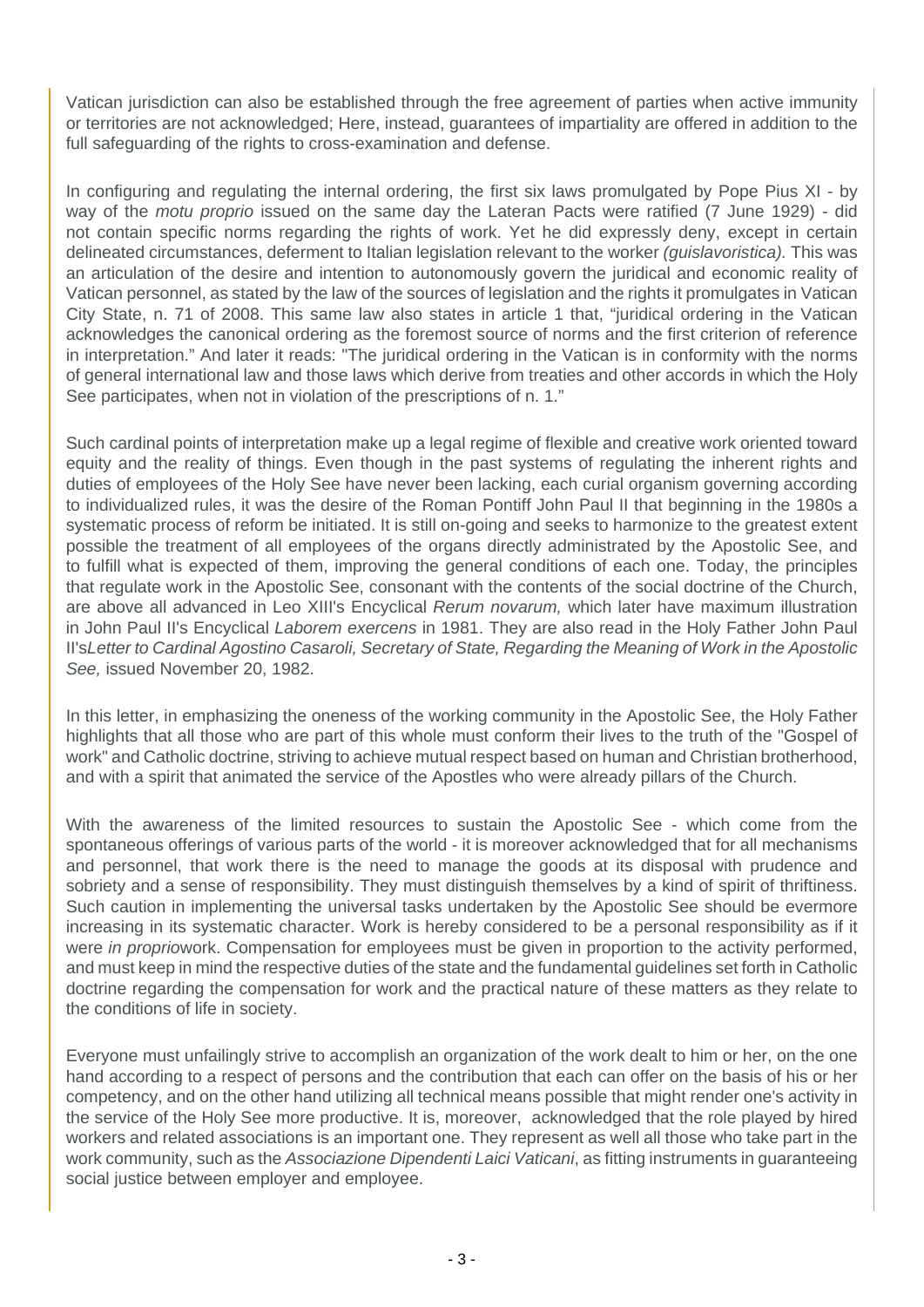Vatican jurisdiction can also be established through the free agreement of parties when active immunity or territories are not acknowledged; Here, instead, guarantees of impartiality are offered in addition to the full safeguarding of the rights to cross-examination and defense.

In configuring and regulating the internal ordering, the first six laws promulgated by Pope Pius XI - by way of the *motu proprio* issued on the same day the Lateran Pacts were ratified (7 June 1929) - did not contain specific norms regarding the rights of work. Yet he did expressly deny, except in certain delineated circumstances, deferment to Italian legislation relevant to the worker (guislavoristica). This was an articulation of the desire and intention to autonomously govern the juridical and economic reality of Vatican personnel, as stated by the law of the sources of legislation and the rights it promulgates in Vatican City State, n. 71 of 2008. This same law also states in article 1 that, "juridical ordering in the Vatican acknowledges the canonical ordering as the foremost source of norms and the first criterion of reference in interpretation." And later it reads: "The juridical ordering in the Vatican is in conformity with the norms of general international law and those laws which derive from treaties and other accords in which the Holy See participates, when not in violation of the prescriptions of n. 1."

Such cardinal points of interpretation make up a legal regime of flexible and creative work oriented toward equity and the reality of things. Even though in the past systems of regulating the inherent rights and duties of employees of the Holy See have never been lacking, each curial organism governing according to individualized rules, it was the desire of the Roman Pontiff John Paul II that beginning in the 1980s a systematic process of reform be initiated. It is still on-going and seeks to harmonize to the greatest extent possible the treatment of all employees of the organs directly administrated by the Apostolic See, and to fulfill what is expected of them, improving the general conditions of each one. Today, the principles that regulate work in the Apostolic See, consonant with the contents of the social doctrine of the Church, are above all advanced in Leo XIII's Encyclical Rerum novarum, which later have maximum illustration in John Paul II's Encyclical Laborem exercens in 1981. They are also read in the Holy Father John Paul II'sLetter to Cardinal Agostino Casaroli, Secretary of State, Regarding the Meaning of Work in the Apostolic See, issued November 20, 1982.

In this letter, in emphasizing the oneness of the working community in the Apostolic See, the Holy Father highlights that all those who are part of this whole must conform their lives to the truth of the "Gospel of work" and Catholic doctrine, striving to achieve mutual respect based on human and Christian brotherhood, and with a spirit that animated the service of the Apostles who were already pillars of the Church.

With the awareness of the limited resources to sustain the Apostolic See - which come from the spontaneous offerings of various parts of the world - it is moreover acknowledged that for all mechanisms and personnel, that work there is the need to manage the goods at its disposal with prudence and sobriety and a sense of responsibility. They must distinguish themselves by a kind of spirit of thriftiness. Such caution in implementing the universal tasks undertaken by the Apostolic See should be evermore increasing in its systematic character. Work is hereby considered to be a personal responsibility as if it were in propriowork. Compensation for employees must be given in proportion to the activity performed, and must keep in mind the respective duties of the state and the fundamental guidelines set forth in Catholic doctrine regarding the compensation for work and the practical nature of these matters as they relate to the conditions of life in society.

Everyone must unfailingly strive to accomplish an organization of the work dealt to him or her, on the one hand according to a respect of persons and the contribution that each can offer on the basis of his or her competency, and on the other hand utilizing all technical means possible that might render one's activity in the service of the Holy See more productive. It is, moreover, acknowledged that the role played by hired workers and related associations is an important one. They represent as well all those who take part in the work community, such as the Associazione Dipendenti Laici Vaticani, as fitting instruments in guaranteeing social justice between employer and employee.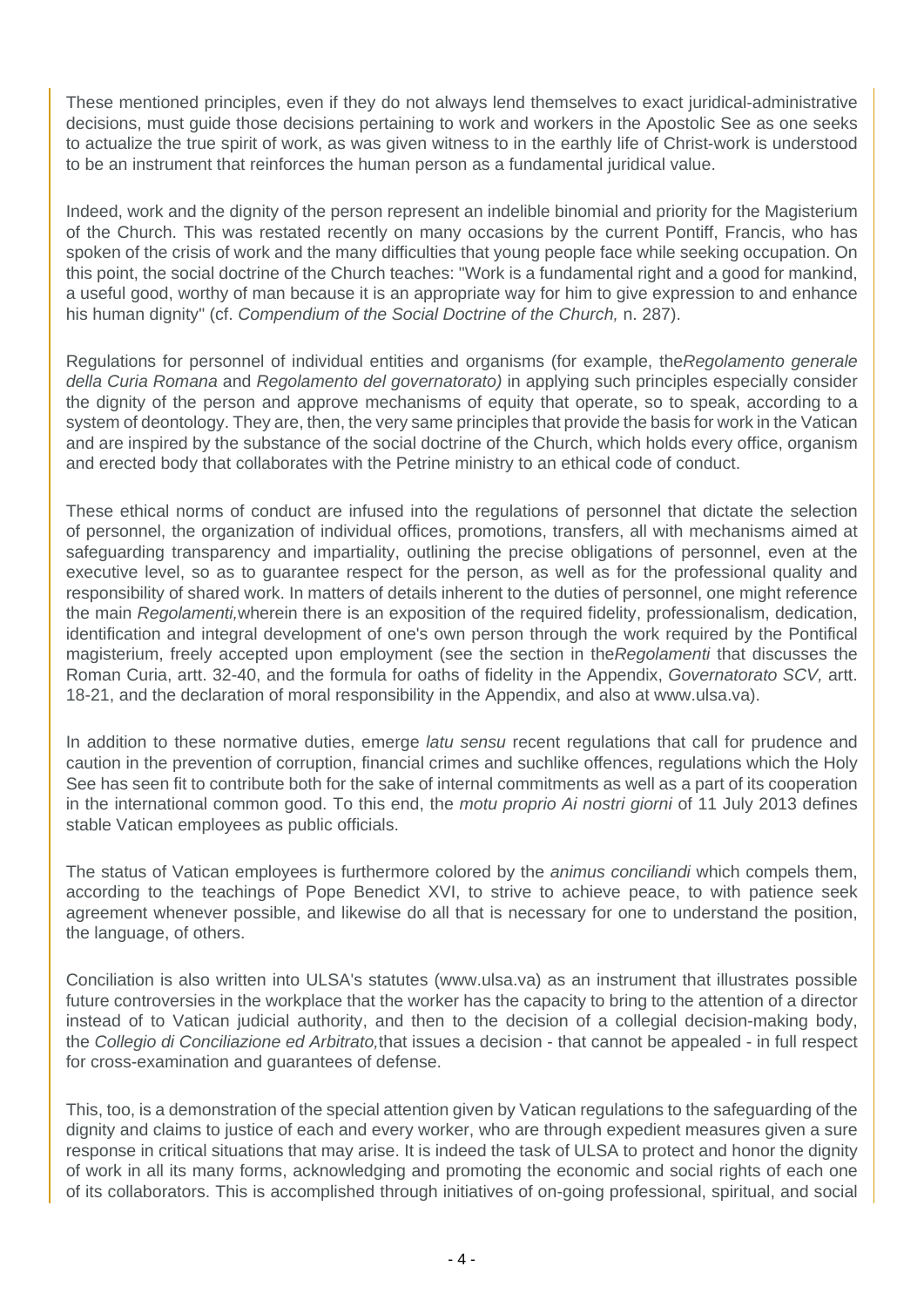These mentioned principles, even if they do not always lend themselves to exact juridical-administrative decisions, must guide those decisions pertaining to work and workers in the Apostolic See as one seeks to actualize the true spirit of work, as was given witness to in the earthly life of Christ-work is understood to be an instrument that reinforces the human person as a fundamental juridical value.

Indeed, work and the dignity of the person represent an indelible binomial and priority for the Magisterium of the Church. This was restated recently on many occasions by the current Pontiff, Francis, who has spoken of the crisis of work and the many difficulties that young people face while seeking occupation. On this point, the social doctrine of the Church teaches: "Work is a fundamental right and a good for mankind, a useful good, worthy of man because it is an appropriate way for him to give expression to and enhance his human dignity" (cf. Compendium of the Social Doctrine of the Church, n. 287).

Regulations for personnel of individual entities and organisms (for example, the Regolamento generale della Curia Romana and Regolamento del governatorato) in applying such principles especially consider the dignity of the person and approve mechanisms of equity that operate, so to speak, according to a system of deontology. They are, then, the very same principles that provide the basis for work in the Vatican and are inspired by the substance of the social doctrine of the Church, which holds every office, organism and erected body that collaborates with the Petrine ministry to an ethical code of conduct.

These ethical norms of conduct are infused into the regulations of personnel that dictate the selection of personnel, the organization of individual offices, promotions, transfers, all with mechanisms aimed at safeguarding transparency and impartiality, outlining the precise obligations of personnel, even at the executive level, so as to guarantee respect for the person, as well as for the professional quality and responsibility of shared work. In matters of details inherent to the duties of personnel, one might reference the main Regolamenti, wherein there is an exposition of the required fidelity, professionalism, dedication, identification and integral development of one's own person through the work required by the Pontifical magisterium, freely accepted upon employment (see the section in theRegolamenti that discusses the Roman Curia, artt. 32-40, and the formula for oaths of fidelity in the Appendix, Governatorato SCV, artt. 18-21, and the declaration of moral responsibility in the Appendix, and also at www.ulsa.va).

In addition to these normative duties, emerge *latu sensu* recent regulations that call for prudence and caution in the prevention of corruption, financial crimes and suchlike offences, regulations which the Holy See has seen fit to contribute both for the sake of internal commitments as well as a part of its cooperation in the international common good. To this end, the motu proprio Ai nostri giorni of 11 July 2013 defines stable Vatican employees as public officials.

The status of Vatican employees is furthermore colored by the *animus conciliandi* which compels them, according to the teachings of Pope Benedict XVI, to strive to achieve peace, to with patience seek agreement whenever possible, and likewise do all that is necessary for one to understand the position, the language, of others.

Conciliation is also written into ULSA's statutes (www.ulsa.va) as an instrument that illustrates possible future controversies in the workplace that the worker has the capacity to bring to the attention of a director instead of to Vatican judicial authority, and then to the decision of a collegial decision-making body, the Collegio di Conciliazione ed Arbitrato,that issues a decision - that cannot be appealed - in full respect for cross-examination and guarantees of defense.

This, too, is a demonstration of the special attention given by Vatican regulations to the safeguarding of the dignity and claims to justice of each and every worker, who are through expedient measures given a sure response in critical situations that may arise. It is indeed the task of ULSA to protect and honor the dignity of work in all its many forms, acknowledging and promoting the economic and social rights of each one of its collaborators. This is accomplished through initiatives of on-going professional, spiritual, and social